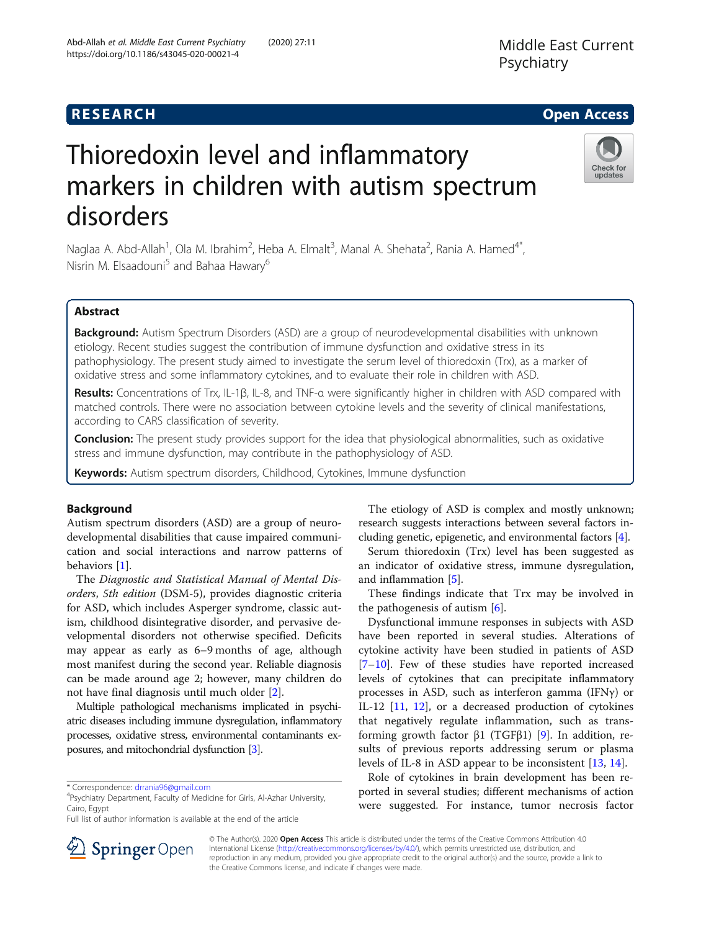## **RESEARCH CHE Open Access**

# Thioredoxin level and inflammatory markers in children with autism spectrum disorders

Naglaa A. Abd-Allah<sup>1</sup>, Ola M. Ibrahim<sup>2</sup>, Heba A. Elmalt<sup>3</sup>, Manal A. Shehata<sup>2</sup>, Rania A. Hamed<sup>4\*</sup>, Nisrin M. Elsaadouni<sup>5</sup> and Bahaa Hawary<sup>6</sup>

## Abstract

Background: Autism Spectrum Disorders (ASD) are a group of neurodevelopmental disabilities with unknown etiology. Recent studies suggest the contribution of immune dysfunction and oxidative stress in its pathophysiology. The present study aimed to investigate the serum level of thioredoxin (Trx), as a marker of oxidative stress and some inflammatory cytokines, and to evaluate their role in children with ASD.

Results: Concentrations of Trx, IL-1β, IL-8, and TNF-α were significantly higher in children with ASD compared with matched controls. There were no association between cytokine levels and the severity of clinical manifestations, according to CARS classification of severity.

**Conclusion:** The present study provides support for the idea that physiological abnormalities, such as oxidative stress and immune dysfunction, may contribute in the pathophysiology of ASD.

Keywords: Autism spectrum disorders, Childhood, Cytokines, Immune dysfunction

## Background

Autism spectrum disorders (ASD) are a group of neurodevelopmental disabilities that cause impaired communication and social interactions and narrow patterns of behaviors [[1\]](#page-5-0).

The Diagnostic and Statistical Manual of Mental Disorders, 5th edition (DSM-5), provides diagnostic criteria for ASD, which includes Asperger syndrome, classic autism, childhood disintegrative disorder, and pervasive developmental disorders not otherwise specified. Deficits may appear as early as 6–9 months of age, although most manifest during the second year. Reliable diagnosis can be made around age 2; however, many children do not have final diagnosis until much older [\[2](#page-5-0)].

Multiple pathological mechanisms implicated in psychiatric diseases including immune dysregulation, inflammatory processes, oxidative stress, environmental contaminants exposures, and mitochondrial dysfunction [\[3](#page-5-0)].

\* Correspondence: [drrania96@gmail.com](mailto:drrania96@gmail.com) <sup>4</sup>

Psychiatry Department, Faculty of Medicine for Girls, Al-Azhar University, Cairo, Egypt

Full list of author information is available at the end of the article

The etiology of ASD is complex and mostly unknown; research suggests interactions between several factors including genetic, epigenetic, and environmental factors [[4](#page-5-0)].

Serum thioredoxin (Trx) level has been suggested as an indicator of oxidative stress, immune dysregulation, and inflammation [[5\]](#page-5-0).

These findings indicate that Trx may be involved in the pathogenesis of autism [\[6](#page-5-0)].

Dysfunctional immune responses in subjects with ASD have been reported in several studies. Alterations of cytokine activity have been studied in patients of ASD [[7](#page-5-0)–[10\]](#page-5-0). Few of these studies have reported increased levels of cytokines that can precipitate inflammatory processes in ASD, such as interferon gamma (IFNγ) or IL-12 [[11,](#page-5-0) [12](#page-5-0)], or a decreased production of cytokines that negatively regulate inflammation, such as transforming growth factor β1 (TGFβ1) [\[9](#page-5-0)]. In addition, results of previous reports addressing serum or plasma levels of IL-8 in ASD appear to be inconsistent [\[13](#page-5-0), [14\]](#page-5-0).

Role of cytokines in brain development has been reported in several studies; different mechanisms of action were suggested. For instance, tumor necrosis factor

© The Author(s). 2020 Open Access This article is distributed under the terms of the Creative Commons Attribution 4.0 International License ([http://creativecommons.org/licenses/by/4.0/\)](http://creativecommons.org/licenses/by/4.0/), which permits unrestricted use, distribution, and reproduction in any medium, provided you give appropriate credit to the original author(s) and the source, provide a link to the Creative Commons license, and indicate if changes were made.



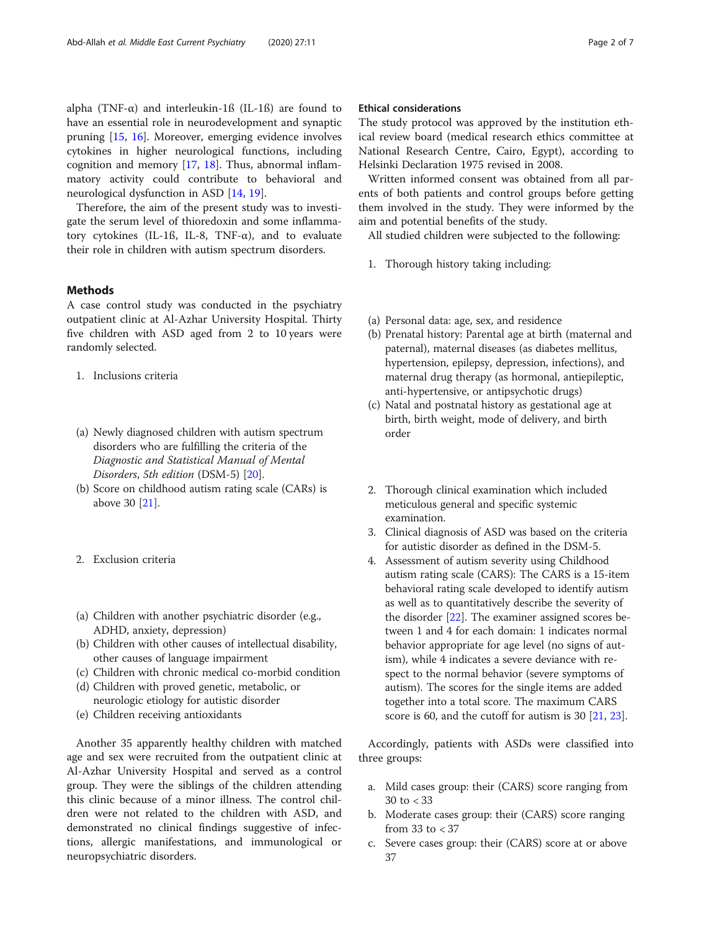alpha (TNF- $\alpha$ ) and interleukin-1ß (IL-1ß) are found to have an essential role in neurodevelopment and synaptic pruning [\[15,](#page-5-0) [16\]](#page-5-0). Moreover, emerging evidence involves cytokines in higher neurological functions, including cognition and memory [[17,](#page-5-0) [18](#page-5-0)]. Thus, abnormal inflammatory activity could contribute to behavioral and neurological dysfunction in ASD [[14](#page-5-0), [19](#page-5-0)].

Therefore, the aim of the present study was to investigate the serum level of thioredoxin and some inflammatory cytokines (IL-1ß, IL-8, TNF-α), and to evaluate their role in children with autism spectrum disorders.

### Methods

A case control study was conducted in the psychiatry outpatient clinic at Al-Azhar University Hospital. Thirty five children with ASD aged from 2 to 10 years were randomly selected.

- 1. Inclusions criteria
- (a) Newly diagnosed children with autism spectrum disorders who are fulfilling the criteria of the Diagnostic and Statistical Manual of Mental Disorders, 5th edition (DSM-5) [[20\]](#page-5-0).
- (b) Score on childhood autism rating scale (CARs) is above 30 [\[21\]](#page-5-0).
- 2. Exclusion criteria
- (a) Children with another psychiatric disorder (e.g., ADHD, anxiety, depression)
- (b) Children with other causes of intellectual disability, other causes of language impairment
- (c) Children with chronic medical co-morbid condition
- (d) Children with proved genetic, metabolic, or neurologic etiology for autistic disorder
- (e) Children receiving antioxidants

Another 35 apparently healthy children with matched age and sex were recruited from the outpatient clinic at Al-Azhar University Hospital and served as a control group. They were the siblings of the children attending this clinic because of a minor illness. The control children were not related to the children with ASD, and demonstrated no clinical findings suggestive of infections, allergic manifestations, and immunological or neuropsychiatric disorders.

## Ethical considerations

The study protocol was approved by the institution ethical review board (medical research ethics committee at National Research Centre, Cairo, Egypt), according to Helsinki Declaration 1975 revised in 2008.

Written informed consent was obtained from all parents of both patients and control groups before getting them involved in the study. They were informed by the aim and potential benefits of the study.

All studied children were subjected to the following:

- 1. Thorough history taking including:
- (a) Personal data: age, sex, and residence
- (b) Prenatal history: Parental age at birth (maternal and paternal), maternal diseases (as diabetes mellitus, hypertension, epilepsy, depression, infections), and maternal drug therapy (as hormonal, antiepileptic, anti-hypertensive, or antipsychotic drugs)
- (c) Natal and postnatal history as gestational age at birth, birth weight, mode of delivery, and birth order
- 2. Thorough clinical examination which included meticulous general and specific systemic examination.
- 3. Clinical diagnosis of ASD was based on the criteria for autistic disorder as defined in the DSM-5.
- 4. Assessment of autism severity using Childhood autism rating scale (CARS): The CARS is a 15-item behavioral rating scale developed to identify autism as well as to quantitatively describe the severity of the disorder [\[22\]](#page-5-0). The examiner assigned scores between 1 and 4 for each domain: 1 indicates normal behavior appropriate for age level (no signs of autism), while 4 indicates a severe deviance with respect to the normal behavior (severe symptoms of autism). The scores for the single items are added together into a total score. The maximum CARS score is 60, and the cutoff for autism is 30 [[21](#page-5-0), [23](#page-5-0)].

Accordingly, patients with ASDs were classified into three groups:

- a. Mild cases group: their (CARS) score ranging from 30 to < 33
- b. Moderate cases group: their (CARS) score ranging from 33 to < 37
- c. Severe cases group: their (CARS) score at or above 37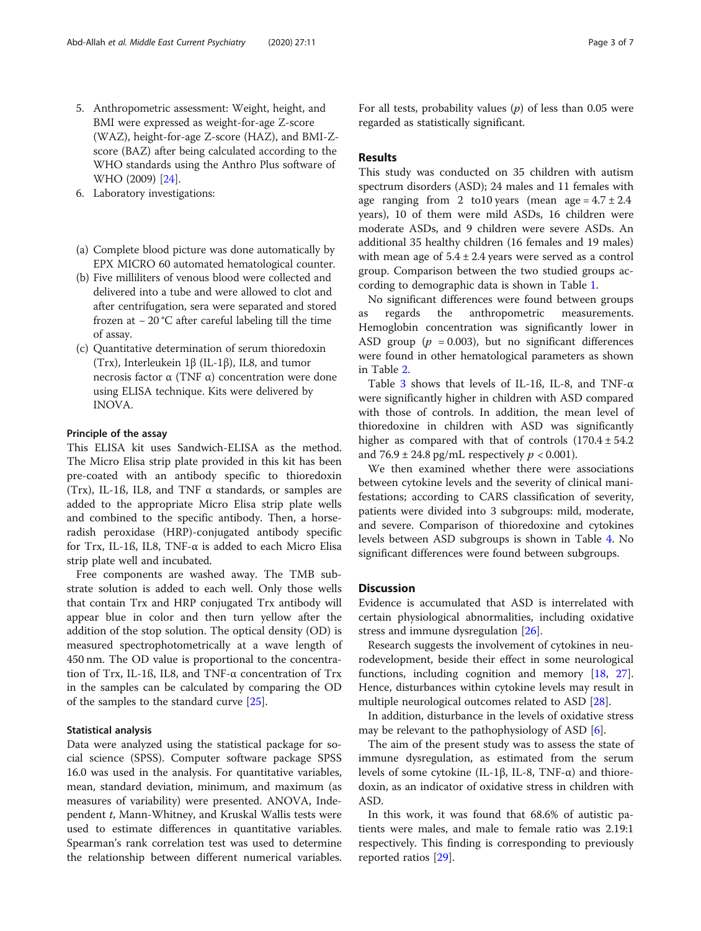- 5. Anthropometric assessment: Weight, height, and BMI were expressed as weight-for-age Z-score (WAZ), height-for-age Z-score (HAZ), and BMI-Zscore (BAZ) after being calculated according to the WHO standards using the Anthro Plus software of WHO (2009) [[24](#page-5-0)].
- 6. Laboratory investigations:
- (a) Complete blood picture was done automatically by EPX MICRO 60 automated hematological counter.
- (b) Five milliliters of venous blood were collected and delivered into a tube and were allowed to clot and after centrifugation, sera were separated and stored frozen at − 20 °C after careful labeling till the time of assay.
- (c) Quantitative determination of serum thioredoxin (Trx), Interleukein 1β (IL-1β), IL8, and tumor necrosis factor α (TNF α) concentration were done using ELISA technique. Kits were delivered by INOVA.

#### Principle of the assay

This ELISA kit uses Sandwich-ELISA as the method. The Micro Elisa strip plate provided in this kit has been pre-coated with an antibody specific to thioredoxin (Trx), IL-1ß, IL8, and TNF α standards, or samples are added to the appropriate Micro Elisa strip plate wells and combined to the specific antibody. Then, a horseradish peroxidase (HRP)-conjugated antibody specific for Trx, IL-1ß, IL8, TNF-α is added to each Micro Elisa strip plate well and incubated.

Free components are washed away. The TMB substrate solution is added to each well. Only those wells that contain Trx and HRP conjugated Trx antibody will appear blue in color and then turn yellow after the addition of the stop solution. The optical density (OD) is measured spectrophotometrically at a wave length of 450 nm. The OD value is proportional to the concentration of Trx, IL-1ß, IL8, and TNF-α concentration of Trx in the samples can be calculated by comparing the OD of the samples to the standard curve [\[25](#page-5-0)].

#### Statistical analysis

Data were analyzed using the statistical package for social science (SPSS). Computer software package SPSS 16.0 was used in the analysis. For quantitative variables, mean, standard deviation, minimum, and maximum (as measures of variability) were presented. ANOVA, Independent t, Mann-Whitney, and Kruskal Wallis tests were used to estimate differences in quantitative variables. Spearman's rank correlation test was used to determine the relationship between different numerical variables. For all tests, probability values  $(p)$  of less than 0.05 were regarded as statistically significant.

#### Results

This study was conducted on 35 children with autism spectrum disorders (ASD); 24 males and 11 females with age ranging from 2 to 10 years (mean age =  $4.7 \pm 2.4$ ) years), 10 of them were mild ASDs, 16 children were moderate ASDs, and 9 children were severe ASDs. An additional 35 healthy children (16 females and 19 males) with mean age of  $5.4 \pm 2.4$  years were served as a control group. Comparison between the two studied groups according to demographic data is shown in Table [1.](#page-3-0)

No significant differences were found between groups as regards the anthropometric measurements. Hemoglobin concentration was significantly lower in ASD group ( $p = 0.003$ ), but no significant differences were found in other hematological parameters as shown in Table [2.](#page-3-0)

Table [3](#page-4-0) shows that levels of IL-1ß, IL-8, and TNF-α were significantly higher in children with ASD compared with those of controls. In addition, the mean level of thioredoxine in children with ASD was significantly higher as compared with that of controls  $(170.4 \pm 54.2)$ and  $76.9 \pm 24.8$  pg/mL respectively  $p < 0.001$ ).

We then examined whether there were associations between cytokine levels and the severity of clinical manifestations; according to CARS classification of severity, patients were divided into 3 subgroups: mild, moderate, and severe. Comparison of thioredoxine and cytokines levels between ASD subgroups is shown in Table [4](#page-4-0). No significant differences were found between subgroups.

## Discussion

Evidence is accumulated that ASD is interrelated with certain physiological abnormalities, including oxidative stress and immune dysregulation [\[26\]](#page-5-0).

Research suggests the involvement of cytokines in neurodevelopment, beside their effect in some neurological functions, including cognition and memory [\[18,](#page-5-0) [27](#page-5-0)]. Hence, disturbances within cytokine levels may result in multiple neurological outcomes related to ASD [\[28](#page-6-0)].

In addition, disturbance in the levels of oxidative stress may be relevant to the pathophysiology of ASD [\[6\]](#page-5-0).

The aim of the present study was to assess the state of immune dysregulation, as estimated from the serum levels of some cytokine (IL-1β, IL-8, TNF-α) and thioredoxin, as an indicator of oxidative stress in children with ASD.

In this work, it was found that 68.6% of autistic patients were males, and male to female ratio was 2.19:1 respectively. This finding is corresponding to previously reported ratios [\[29](#page-6-0)].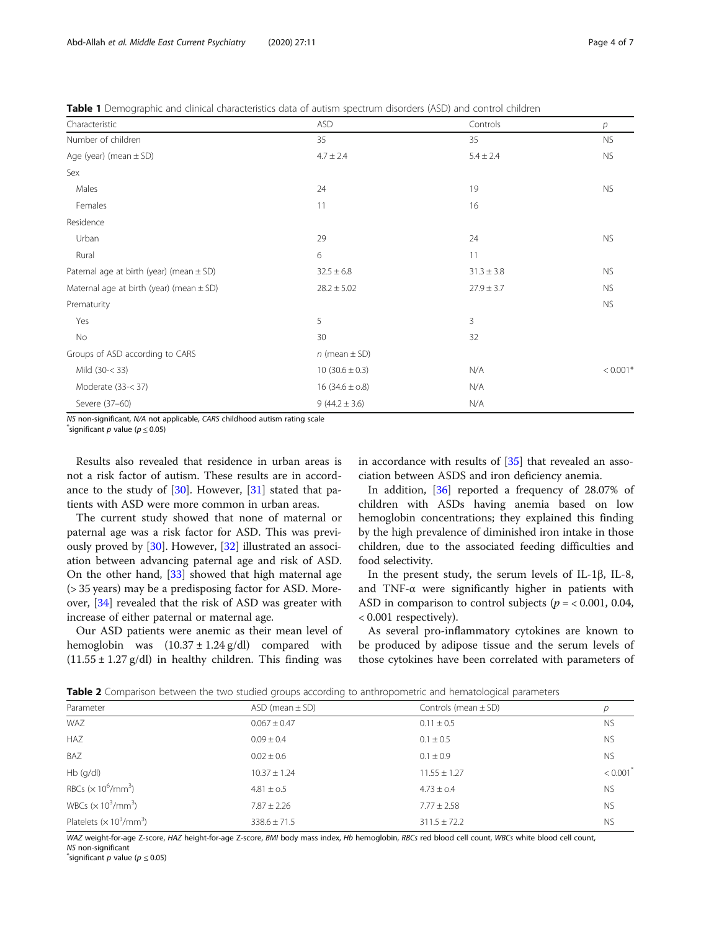<span id="page-3-0"></span>Table 1 Demographic and clinical characteristics data of autism spectrum disorders (ASD) and control children

| Characteristic                               | <b>ASD</b>          | Controls       | $\overline{p}$ |
|----------------------------------------------|---------------------|----------------|----------------|
| Number of children                           | 35                  | 35             | ${\sf NS}$     |
| Age (year) (mean $\pm$ SD)                   | $4.7 \pm 2.4$       | $5.4 \pm 2.4$  | <b>NS</b>      |
| Sex                                          |                     |                |                |
| Males                                        | 24                  | 19             | <b>NS</b>      |
| Females                                      | 11                  | 16             |                |
| Residence                                    |                     |                |                |
| Urban                                        | 29                  | 24             | <b>NS</b>      |
| Rural                                        | 6                   | 11             |                |
| Paternal age at birth (year) (mean $\pm$ SD) | $32.5 \pm 6.8$      | $31.3 \pm 3.8$ | <b>NS</b>      |
| Maternal age at birth (year) (mean $\pm$ SD) | $28.2 \pm 5.02$     | $27.9 \pm 3.7$ | <b>NS</b>      |
| Prematurity                                  |                     |                | <b>NS</b>      |
| Yes                                          | 5                   | 3              |                |
| No                                           | 30                  | 32             |                |
| Groups of ASD according to CARS              | $n$ (mean $\pm$ SD) |                |                |
| Mild (30-< 33)                               | $10(30.6 \pm 0.3)$  | N/A            | $< 0.001*$     |
| Moderate (33-< 37)                           | $16(34.6 \pm 0.8)$  | N/A            |                |
| Severe (37-60)                               | $9(44.2 \pm 3.6)$   | N/A            |                |

NS non-significant, N/A not applicable, CARS childhood autism rating scale \*

significant p value ( $p \leq 0.05$ )

Results also revealed that residence in urban areas is not a risk factor of autism. These results are in accordance to the study of [\[30](#page-6-0)]. However, [[31\]](#page-6-0) stated that patients with ASD were more common in urban areas.

The current study showed that none of maternal or paternal age was a risk factor for ASD. This was previously proved by [[30](#page-6-0)]. However, [\[32](#page-6-0)] illustrated an association between advancing paternal age and risk of ASD. On the other hand, [[33\]](#page-6-0) showed that high maternal age (> 35 years) may be a predisposing factor for ASD. Moreover, [[34\]](#page-6-0) revealed that the risk of ASD was greater with increase of either paternal or maternal age.

Our ASD patients were anemic as their mean level of hemoglobin was  $(10.37 \pm 1.24 \text{ g/dl})$  compared with  $(11.55 \pm 1.27 \text{ g/dl})$  in healthy children. This finding was in accordance with results of [[35](#page-6-0)] that revealed an association between ASDS and iron deficiency anemia.

In addition, [[36\]](#page-6-0) reported a frequency of 28.07% of children with ASDs having anemia based on low hemoglobin concentrations; they explained this finding by the high prevalence of diminished iron intake in those children, due to the associated feeding difficulties and food selectivity.

In the present study, the serum levels of IL-1β, IL-8, and TNF-α were significantly higher in patients with ASD in comparison to control subjects ( $p = < 0.001, 0.04$ , < 0.001 respectively).

As several pro-inflammatory cytokines are known to be produced by adipose tissue and the serum levels of those cytokines have been correlated with parameters of

Table 2 Comparison between the two studied groups according to anthropometric and hematological parameters

| Parameter                                               | $ASD$ (mean $\pm$ SD) | Controls (mean $\pm$ SD) | р         |
|---------------------------------------------------------|-----------------------|--------------------------|-----------|
| WAZ                                                     | $0.067 \pm 0.47$      | $0.11 \pm 0.5$           | <b>NS</b> |
| HAZ                                                     | $0.09 \pm 0.4$        | $0.1 \pm 0.5$            | <b>NS</b> |
| BAZ                                                     | $0.02 \pm 0.6$        | $0.1 \pm 0.9$            | <b>NS</b> |
| $Hb$ (g/dl)                                             | $10.37 \pm 1.24$      | $11.55 \pm 1.27$         | < 0.001   |
| RBCs $(\times 10^6/\text{mm}^3)$                        | $4.81 \pm 0.5$        | $4.73 \pm 0.4$           | <b>NS</b> |
| WBCs $(x 10^3/mm^3)$                                    | $7.87 \pm 2.26$       | $7.77 \pm 2.58$          | <b>NS</b> |
| Platelets ( $\times$ 10 <sup>3</sup> /mm <sup>3</sup> ) | $338.6 \pm 71.5$      | $311.5 \pm 72.2$         | <b>NS</b> |

WAZ weight-for-age Z-score, HAZ height-for-age Z-score, BMI body mass index, Hb hemoglobin, RBCs red blood cell count, WBCs white blood cell count, NS non-significant

 $\check{ }$ significant  $p$  value ( $p \leq 0.05$ )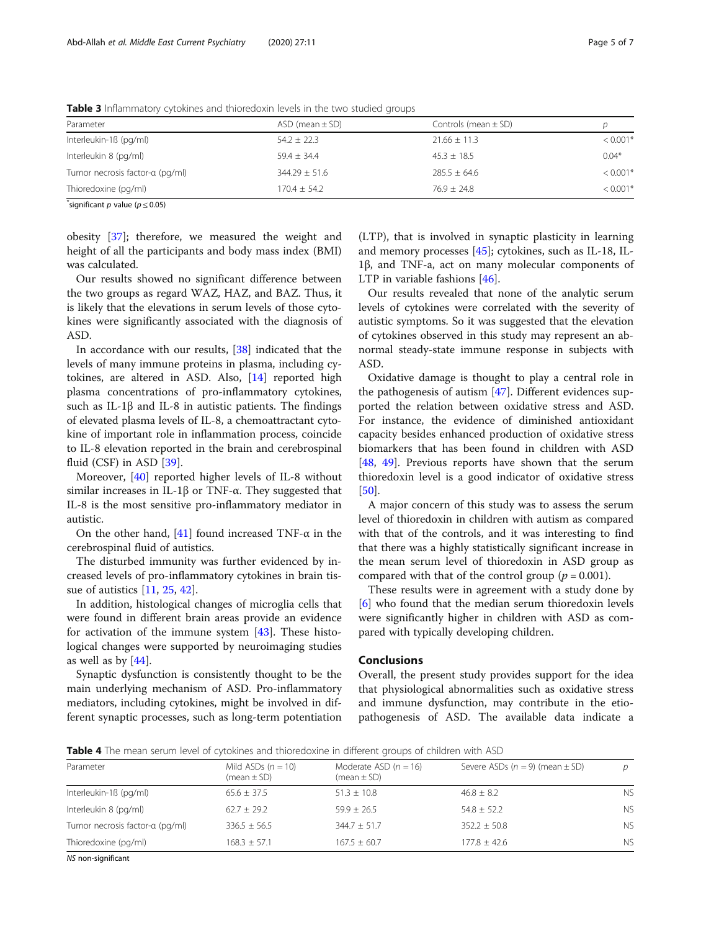| Parameter                       | ASD (mean $\pm$ SD) | Controls (mean $\pm$ SD) |                        |
|---------------------------------|---------------------|--------------------------|------------------------|
| Interleukin-1ß (pg/ml)          | $54.2 \pm 22.3$     | $21.66 \pm 11.3$         | $< 0.001$ <sup>3</sup> |
| Interleukin 8 (pg/ml)           | $59.4 + 34.4$       | $45.3 \pm 18.5$          | $0.04*$                |
| Tumor necrosis factor-a (pg/ml) | $344.29 \pm 51.6$   | $285.5 \pm 64.6$         | $< 0.001$ <sup>3</sup> |
| Thioredoxine (pg/ml)            | $170.4 + 54.2$      | $76.9 + 24.8$            | $< 0.001$ <sup>*</sup> |
|                                 |                     |                          |                        |

<span id="page-4-0"></span>Table 3 Inflammatory cytokines and thioredoxin levels in the two studied groups

 $\check{ }$ significant  $p$  value ( $p \le 0.05$ )

obesity [\[37](#page-6-0)]; therefore, we measured the weight and height of all the participants and body mass index (BMI) was calculated.

Our results showed no significant difference between the two groups as regard WAZ, HAZ, and BAZ. Thus, it is likely that the elevations in serum levels of those cytokines were significantly associated with the diagnosis of ASD.

In accordance with our results, [[38\]](#page-6-0) indicated that the levels of many immune proteins in plasma, including cytokines, are altered in ASD. Also, [[14\]](#page-5-0) reported high plasma concentrations of pro-inflammatory cytokines, such as IL-1β and IL-8 in autistic patients. The findings of elevated plasma levels of IL-8, a chemoattractant cytokine of important role in inflammation process, coincide to IL-8 elevation reported in the brain and cerebrospinal fluid (CSF) in ASD [\[39](#page-6-0)].

Moreover, [[40\]](#page-6-0) reported higher levels of IL-8 without similar increases in IL-1β or TNF- $α$ . They suggested that IL-8 is the most sensitive pro-inflammatory mediator in autistic.

On the other hand,  $[41]$  $[41]$  $[41]$  found increased TNF- $\alpha$  in the cerebrospinal fluid of autistics.

The disturbed immunity was further evidenced by increased levels of pro-inflammatory cytokines in brain tissue of autistics [\[11](#page-5-0), [25](#page-5-0), [42\]](#page-6-0).

In addition, histological changes of microglia cells that were found in different brain areas provide an evidence for activation of the immune system [\[43\]](#page-6-0). These histological changes were supported by neuroimaging studies as well as by [[44\]](#page-6-0).

Synaptic dysfunction is consistently thought to be the main underlying mechanism of ASD. Pro-inflammatory mediators, including cytokines, might be involved in different synaptic processes, such as long-term potentiation

(LTP), that is involved in synaptic plasticity in learning and memory processes [\[45](#page-6-0)]; cytokines, such as IL-18, IL-1β, and TNF-a, act on many molecular components of LTP in variable fashions [\[46\]](#page-6-0).

Our results revealed that none of the analytic serum levels of cytokines were correlated with the severity of autistic symptoms. So it was suggested that the elevation of cytokines observed in this study may represent an abnormal steady-state immune response in subjects with ASD.

Oxidative damage is thought to play a central role in the pathogenesis of autism [[47\]](#page-6-0). Different evidences supported the relation between oxidative stress and ASD. For instance, the evidence of diminished antioxidant capacity besides enhanced production of oxidative stress biomarkers that has been found in children with ASD [[48,](#page-6-0) [49\]](#page-6-0). Previous reports have shown that the serum thioredoxin level is a good indicator of oxidative stress [[50\]](#page-6-0).

A major concern of this study was to assess the serum level of thioredoxin in children with autism as compared with that of the controls, and it was interesting to find that there was a highly statistically significant increase in the mean serum level of thioredoxin in ASD group as compared with that of the control group ( $p = 0.001$ ).

These results were in agreement with a study done by [[6\]](#page-5-0) who found that the median serum thioredoxin levels were significantly higher in children with ASD as compared with typically developing children.

## Conclusions

Overall, the present study provides support for the idea that physiological abnormalities such as oxidative stress and immune dysfunction, may contribute in the etiopathogenesis of ASD. The available data indicate a

Table 4 The mean serum level of cytokines and thioredoxine in different groups of children with ASD

| Parameter                       | Mild ASDs $(n = 10)$<br>$(mean \pm SD)$ | Moderate ASD $(n = 16)$<br>$(mean \pm SD)$ | Severe ASDs $(n = 9)$ (mean $\pm$ SD) | D              |
|---------------------------------|-----------------------------------------|--------------------------------------------|---------------------------------------|----------------|
| Interleukin-1ß (pg/ml)          | $65.6 + 37.5$                           | $51.3 \pm 10.8$                            | $46.8 \pm 8.2$                        | <b>NS</b>      |
| Interleukin 8 (pg/ml)           | $62.7 + 29.2$                           | $59.9 + 26.5$                              | $54.8 + 52.2$                         | <b>NS</b>      |
| Tumor necrosis factor-a (pg/ml) | $336.5 + 56.5$                          | $344.7 + 51.7$                             | $352.2 + 50.8$                        | N <sub>S</sub> |
| Thioredoxine (pg/ml)            | $168.3 \pm 57.1$                        | $167.5 \pm 60.7$                           | $177.8 + 42.6$                        | <b>NS</b>      |
| NS non-significant              |                                         |                                            |                                       |                |

NS non-significant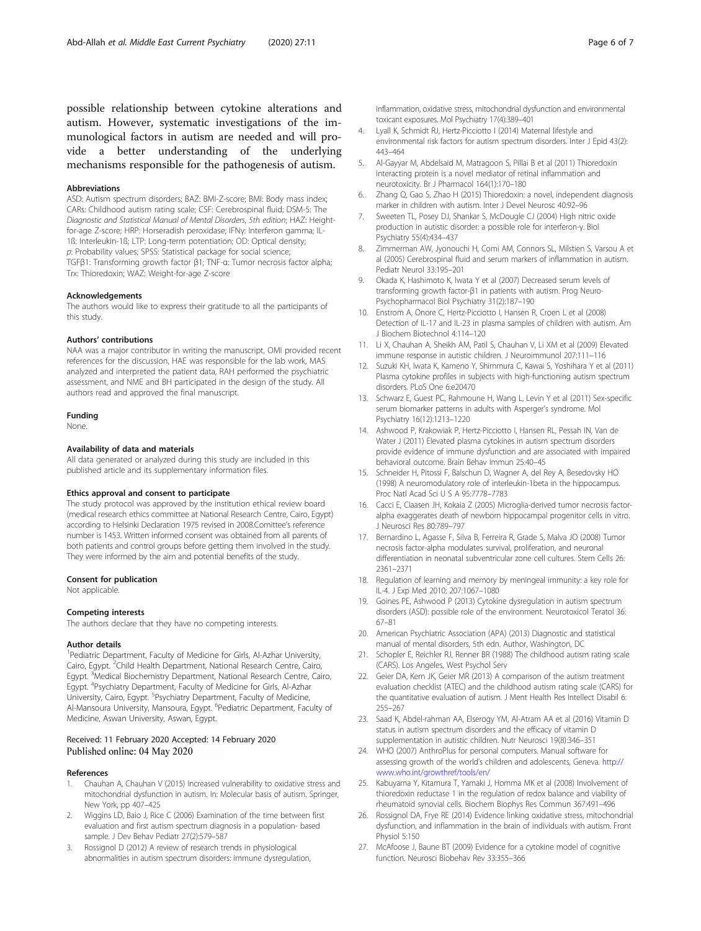<span id="page-5-0"></span>possible relationship between cytokine alterations and autism. However, systematic investigations of the immunological factors in autism are needed and will provide a better understanding of the underlying mechanisms responsible for the pathogenesis of autism.

#### Abbreviations

ASD: Autism spectrum disorders; BAZ: BMI-Z-score; BMI: Body mass index; CARs: Childhood autism rating scale; CSF: Cerebrospinal fluid; DSM-5: The Diagnostic and Statistical Manual of Mental Disorders, 5th edition; HAZ: Heightfor-age Z-score; HRP: Horseradish peroxidase; IFNγ: Interferon gamma; IL-1ß: Interleukin-1ß; LTP: Long-term potentiation; OD: Optical density; p: Probability values; SPSS: Statistical package for social science; TGFβ1: Transforming growth factor β1; TNF-α: Tumor necrosis factor alpha; Trx: Thioredoxin; WAZ: Weight-for-age Z-score

#### Acknowledgements

The authors would like to express their gratitude to all the participants of this study.

#### Authors' contributions

NAA was a major contributor in writing the manuscript, OMI provided recent references for the discussion, HAE was responsible for the lab work, MAS analyzed and interpreted the patient data, RAH performed the psychiatric assessment, and NME and BH participated in the design of the study. All authors read and approved the final manuscript.

#### Funding

None.

#### Availability of data and materials

All data generated or analyzed during this study are included in this published article and its supplementary information files.

#### Ethics approval and consent to participate

The study protocol was approved by the institution ethical review board (medical research ethics committee at National Research Centre, Cairo, Egypt) according to Helsinki Declaration 1975 revised in 2008.Comittee's reference number is 1453. Written informed consent was obtained from all parents of both patients and control groups before getting them involved in the study. They were informed by the aim and potential benefits of the study.

#### Consent for publication

Not applicable.

#### Competing interests

The authors declare that they have no competing interests.

#### Author details

<sup>1</sup> Pediatric Department, Faculty of Medicine for Girls, Al-Azhar University, Cairo, Egypt. <sup>2</sup>Child Health Department, National Research Centre, Cairo, Egypt. <sup>3</sup>Medical Biochemistry Department, National Research Centre, Cairo, Egypt. <sup>4</sup>Psychiatry Department, Faculty of Medicine for Girls, Al-Azhar University, Cairo, Egypt. <sup>5</sup>Psychiatry Department, Faculty of Medicine, Al-Mansoura University, Mansoura, Egypt. <sup>6</sup>Pediatric Department, Faculty of Medicine, Aswan University, Aswan, Egypt.

#### Received: 11 February 2020 Accepted: 14 February 2020 Published online: 04 May 2020

#### References

- 1. Chauhan A, Chauhan V (2015) Increased vulnerability to oxidative stress and mitochondrial dysfunction in autism. In: Molecular basis of autism. Springer, New York, pp 407–425
- 2. Wiggins LD, Baio J, Rice C (2006) Examination of the time between first evaluation and first autism spectrum diagnosis in a population- based sample. J Dev Behav Pediatr 27(2):579–587
- 3. Rossignol D (2012) A review of research trends in physiological abnormalities in autism spectrum disorders: immune dysregulation,
- 4. Lyall K, Schmidt RJ, Hertz-Picciotto I (2014) Maternal lifestyle and environmental risk factors for autism spectrum disorders. Inter J Epid 43(2): 443–464
- 5. Al-Gayyar M, Abdelsaid M, Matragoon S, Pillai B et al (2011) Thioredoxin interacting protein is a novel mediator of retinal inflammation and neurotoxicity. Br J Pharmacol 164(1):170–180
- 6. Zhang Q, Gao S, Zhao H (2015) Thioredoxin: a novel, independent diagnosis marker in children with autism. Inter J Devel Neurosc 40:92–96
- Sweeten TL, Posey DJ, Shankar S, McDougle CJ (2004) High nitric oxide production in autistic disorder: a possible role for interferon-γ. Biol Psychiatry 55(4):434–437
- 8. Zimmerman AW, Jyonouchi H, Comi AM, Connors SL, Milstien S, Varsou A et al (2005) Cerebrospinal fluid and serum markers of inflammation in autism. Pediatr Neurol 33:195–201
- 9. Okada K, Hashimoto K, Iwata Y et al (2007) Decreased serum levels of transforming growth factor-β1 in patients with autism. Prog Neuro-Psychopharmacol Biol Psychiatry 31(2):187–190
- 10. Enstrom A, Onore C, Hertz-Picciotto I, Hansen R, Croen L et al (2008) Detection of IL-17 and IL-23 in plasma samples of children with autism. Am J Biochem Biotechnol 4:114–120
- 11. Li X, Chauhan A, Sheikh AM, Patil S, Chauhan V, Li XM et al (2009) Elevated immune response in autistic children. J Neuroimmunol 207:111–116
- 12. Suzuki KH, Iwata K, Kameno Y, Shimmura C, Kawai S, Yoshihara Y et al (2011) Plasma cytokine profiles in subjects with high-functioning autism spectrum disorders. PLoS One 6:e20470
- 13. Schwarz E, Guest PC, Rahmoune H, Wang L, Levin Y et al (2011) Sex-specific serum biomarker patterns in adults with Asperger's syndrome. Mol Psychiatry 16(12):1213–1220
- 14. Ashwood P, Krakowiak P, Hertz-Picciotto I, Hansen RL, Pessah IN, Van de Water J (2011) Elevated plasma cytokines in autism spectrum disorders provide evidence of immune dysfunction and are associated with impaired behavioral outcome. Brain Behav Immun 25:40–45
- 15. Schneider H, Pitossi F, Balschun D, Wagner A, del Rey A, Besedovsky HO (1998) A neuromodulatory role of interleukin-1beta in the hippocampus. Proc Natl Acad Sci U S A 95:7778–7783
- 16. Cacci E, Claasen JH, Kokaia Z (2005) Microglia-derived tumor necrosis factoralpha exaggerates death of newborn hippocampal progenitor cells in vitro. J Neurosci Res 80:789–797
- 17. Bernardino L, Agasse F, Silva B, Ferreira R, Grade S, Malva JO (2008) Tumor necrosis factor-alpha modulates survival, proliferation, and neuronal differentiation in neonatal subventricular zone cell cultures. Stem Cells 26: 2361–2371
- 18. Regulation of learning and memory by meningeal immunity: a key role for IL-4. J Exp Med 2010; 207:1067–1080
- 19. Goines PE, Ashwood P (2013) Cytokine dysregulation in autism spectrum disorders (ASD): possible role of the environment. Neurotoxicol Teratol 36: 67–81
- 20. American Psychiatric Association (APA) (2013) Diagnostic and statistical manual of mental disorders, 5th edn. Author, Washington, DC
- 21. Schopler E, Reichler RJ, Renner BR (1988) The childhood autism rating scale (CARS). Los Angeles, West Psychol Serv
- 22. Geier DA, Kern JK, Geier MR (2013) A comparison of the autism treatment evaluation checklist (ATEC) and the childhood autism rating scale (CARS) for the quantitative evaluation of autism. J Ment Health Res Intellect Disabil 6: 255–267
- 23. Saad K, Abdel-rahman AA, Elserogy YM, Al-Atram AA et al (2016) Vitamin D status in autism spectrum disorders and the efficacy of vitamin D supplementation in autistic children. Nutr Neurosci 19(8):346–351
- 24. WHO (2007) AnthroPlus for personal computers. Manual software for assessing growth of the world's children and adolescents, Geneva. [http://](http://www.who.int/growthref/tools/en/) [www.who.int/growthref/tools/en/](http://www.who.int/growthref/tools/en/)
- 25. Kabuyama Y, Kitamura T, Yamaki J, Homma MK et al (2008) Involvement of thioredoxin reductase 1 in the regulation of redox balance and viability of rheumatoid synovial cells. Biochem Biophys Res Commun 367:491–496
- 26. Rossignol DA, Frye RE (2014) Evidence linking oxidative stress, mitochondrial dysfunction, and inflammation in the brain of individuals with autism. Front Physiol 5:150
- 27. McAfoose J, Baune BT (2009) Evidence for a cytokine model of cognitive function. Neurosci Biobehav Rev 33:355–366